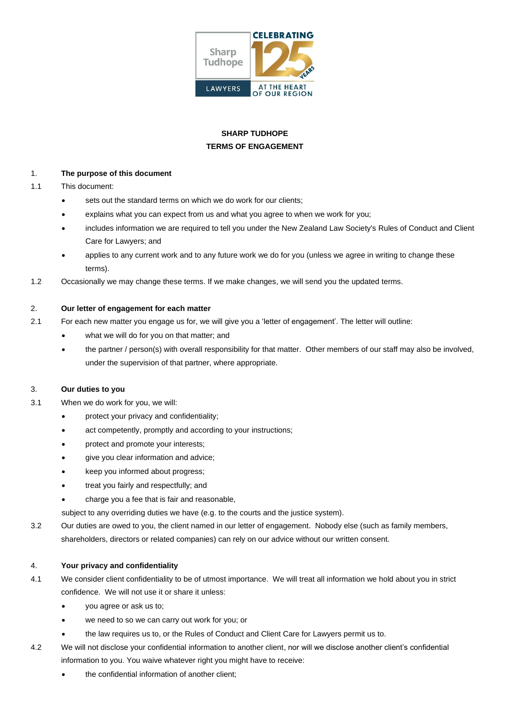

# **SHARP TUDHOPE TERMS OF ENGAGEMENT**

#### 1. **The purpose of this document**

- 1.1 This document:
	- sets out the standard terms on which we do work for our clients:
	- explains what you can expect from us and what you agree to when we work for you;
	- includes information we are required to tell you under the New Zealand Law Society's Rules of Conduct and Client Care for Lawyers; and
	- applies to any current work and to any future work we do for you (unless we agree in writing to change these terms).
- 1.2 Occasionally we may change these terms. If we make changes, we will send you the updated terms.

## 2. **Our letter of engagement for each matter**

- 2.1 For each new matter you engage us for, we will give you a 'letter of engagement'. The letter will outline:
	- what we will do for you on that matter; and
	- the partner / person(s) with overall responsibility for that matter. Other members of our staff may also be involved, under the supervision of that partner, where appropriate.

## 3. **Our duties to you**

- 3.1 When we do work for you, we will:
	- protect your privacy and confidentiality;
	- act competently, promptly and according to your instructions;
	- protect and promote your interests;
	- give you clear information and advice;
	- keep you informed about progress;
	- treat you fairly and respectfully; and
	- charge you a fee that is fair and reasonable,

subject to any overriding duties we have (e.g. to the courts and the justice system).

3.2 Our duties are owed to you, the client named in our letter of engagement. Nobody else (such as family members, shareholders, directors or related companies) can rely on our advice without our written consent.

#### 4. **Your privacy and confidentiality**

- 4.1 We consider client confidentiality to be of utmost importance. We will treat all information we hold about you in strict confidence. We will not use it or share it unless:
	- you agree or ask us to;
	- we need to so we can carry out work for you; or
	- the law requires us to, or the Rules of Conduct and Client Care for Lawyers permit us to.
- 4.2 We will not disclose your confidential information to another client, nor will we disclose another client's confidential information to you. You waive whatever right you might have to receive:
	- the confidential information of another client;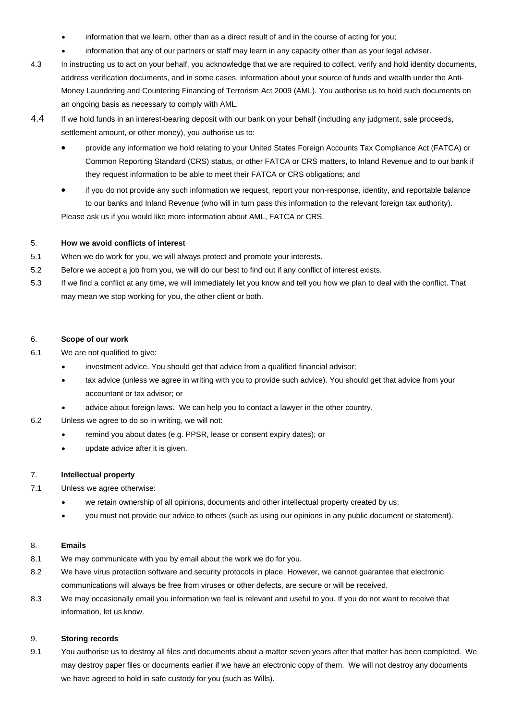- information that we learn, other than as a direct result of and in the course of acting for you;
- information that any of our partners or staff may learn in any capacity other than as your legal adviser.
- 4.3 In instructing us to act on your behalf, you acknowledge that we are required to collect, verify and hold identity documents, address verification documents, and in some cases, information about your source of funds and wealth under the Anti-Money Laundering and Countering Financing of Terrorism Act 2009 (AML). You authorise us to hold such documents on an ongoing basis as necessary to comply with AML.
- 4.4 If we hold funds in an interest-bearing deposit with our bank on your behalf (including any judgment, sale proceeds, settlement amount, or other money), you authorise us to:
	- provide any information we hold relating to your United States Foreign Accounts Tax Compliance Act (FATCA) or Common Reporting Standard (CRS) status, or other FATCA or CRS matters, to Inland Revenue and to our bank if they request information to be able to meet their FATCA or CRS obligations; and
	- if you do not provide any such information we request, report your non-response, identity, and reportable balance to our banks and Inland Revenue (who will in turn pass this information to the relevant foreign tax authority).

Please ask us if you would like more information about AML, FATCA or CRS.

## 5. **How we avoid conflicts of interest**

- 5.1 When we do work for you, we will always protect and promote your interests.
- 5.2 Before we accept a job from you, we will do our best to find out if any conflict of interest exists.
- 5.3 If we find a conflict at any time, we will immediately let you know and tell you how we plan to deal with the conflict. That may mean we stop working for you, the other client or both.

#### 6. **Scope of our work**

- 6.1 We are not qualified to give:
	- investment advice. You should get that advice from a qualified financial advisor;
	- tax advice (unless we agree in writing with you to provide such advice). You should get that advice from your accountant or tax advisor; or
	- advice about foreign laws. We can help you to contact a lawyer in the other country.
- 6.2 Unless we agree to do so in writing, we will not:
	- remind you about dates (e.g. PPSR, lease or consent expiry dates); or
	- update advice after it is given.

#### 7. **Intellectual property**

- 7.1 Unless we agree otherwise:
	- we retain ownership of all opinions, documents and other intellectual property created by us;
	- you must not provide our advice to others (such as using our opinions in any public document or statement).

#### 8. **Emails**

- 8.1 We may communicate with you by email about the work we do for you.
- 8.2 We have virus protection software and security protocols in place. However, we cannot guarantee that electronic communications will always be free from viruses or other defects, are secure or will be received.
- 8.3 We may occasionally email you information we feel is relevant and useful to you. If you do not want to receive that information, let us know.

#### 9. **Storing records**

9.1 You authorise us to destroy all files and documents about a matter seven years after that matter has been completed. We may destroy paper files or documents earlier if we have an electronic copy of them. We will not destroy any documents we have agreed to hold in safe custody for you (such as Wills).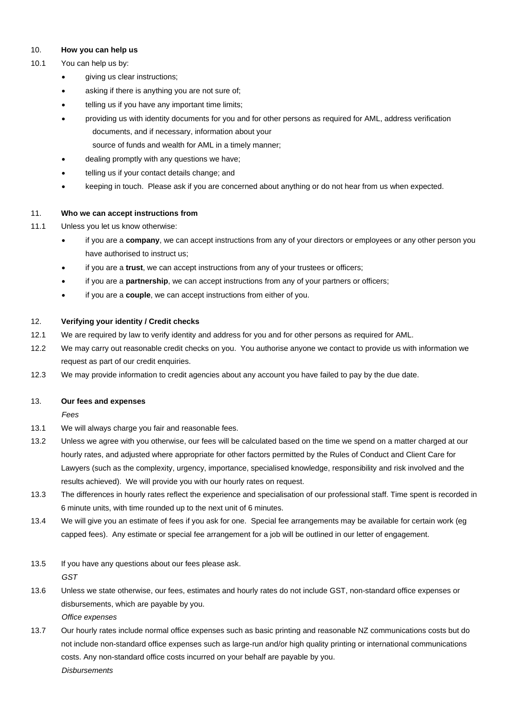#### 10. **How you can help us**

#### 10.1 You can help us by:

- giving us clear instructions;
- asking if there is anything you are not sure of;
- telling us if you have any important time limits;
- providing us with identity documents for you and for other persons as required for AML, address verification documents, and if necessary, information about your source of funds and wealth for AML in a timely manner;
- dealing promptly with any questions we have;
- telling us if your contact details change; and
- keeping in touch. Please ask if you are concerned about anything or do not hear from us when expected.

#### 11. **Who we can accept instructions from**

- 11.1 Unless you let us know otherwise:
	- if you are a **company**, we can accept instructions from any of your directors or employees or any other person you have authorised to instruct us;
	- if you are a **trust**, we can accept instructions from any of your trustees or officers;
	- if you are a **partnership**, we can accept instructions from any of your partners or officers;
	- if you are a **couple**, we can accept instructions from either of you.

#### 12. **Verifying your identity / Credit checks**

- 12.1 We are required by law to verify identity and address for you and for other persons as required for AML.
- 12.2 We may carry out reasonable credit checks on you. You authorise anyone we contact to provide us with information we request as part of our credit enquiries.
- 12.3 We may provide information to credit agencies about any account you have failed to pay by the due date.

#### 13. **Our fees and expenses**

*Fees*

- 13.1 We will always charge you fair and reasonable fees.
- 13.2 Unless we agree with you otherwise, our fees will be calculated based on the time we spend on a matter charged at our hourly rates, and adjusted where appropriate for other factors permitted by the Rules of Conduct and Client Care for Lawyers (such as the complexity, urgency, importance, specialised knowledge, responsibility and risk involved and the results achieved). We will provide you with our hourly rates on request.
- 13.3 The differences in hourly rates reflect the experience and specialisation of our professional staff. Time spent is recorded in 6 minute units, with time rounded up to the next unit of 6 minutes.
- 13.4 We will give you an estimate of fees if you ask for one. Special fee arrangements may be available for certain work (eg capped fees). Any estimate or special fee arrangement for a job will be outlined in our letter of engagement.
- 13.5 If you have any questions about our fees please ask. *GST*
- 13.6 Unless we state otherwise, our fees, estimates and hourly rates do not include GST, non-standard office expenses or disbursements, which are payable by you. *Office expenses*
- 13.7 Our hourly rates include normal office expenses such as basic printing and reasonable NZ communications costs but do not include non-standard office expenses such as large-run and/or high quality printing or international communications costs. Any non-standard office costs incurred on your behalf are payable by you. *Disbursements*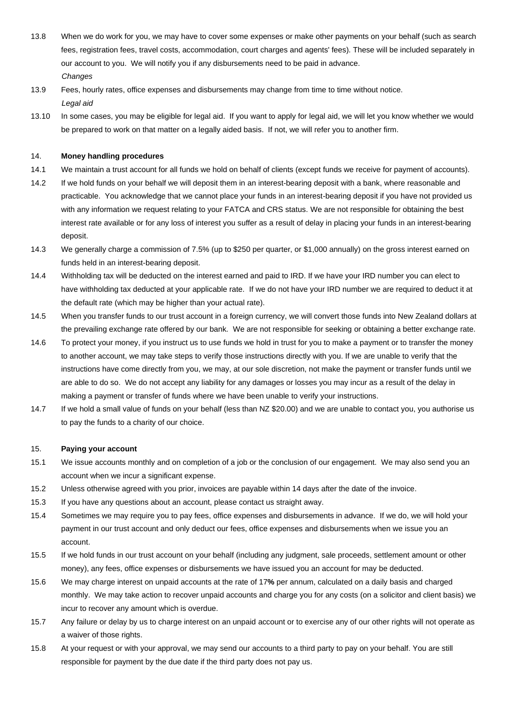- 13.8 When we do work for you, we may have to cover some expenses or make other payments on your behalf (such as search fees, registration fees, travel costs, accommodation, court charges and agents' fees). These will be included separately in our account to you. We will notify you if any disbursements need to be paid in advance. *Changes*
- 13.9 Fees, hourly rates, office expenses and disbursements may change from time to time without notice. *Legal aid*
- 13.10 In some cases, you may be eligible for legal aid. If you want to apply for legal aid, we will let you know whether we would be prepared to work on that matter on a legally aided basis. If not, we will refer you to another firm.

#### 14. **Money handling procedures**

- 14.1 We maintain a trust account for all funds we hold on behalf of clients (except funds we receive for payment of accounts).
- 14.2 If we hold funds on your behalf we will deposit them in an interest-bearing deposit with a bank, where reasonable and practicable. You acknowledge that we cannot place your funds in an interest-bearing deposit if you have not provided us with any information we request relating to your FATCA and CRS status. We are not responsible for obtaining the best interest rate available or for any loss of interest you suffer as a result of delay in placing your funds in an interest-bearing deposit.
- 14.3 We generally charge a commission of 7.5% (up to \$250 per quarter, or \$1,000 annually) on the gross interest earned on funds held in an interest-bearing deposit.
- 14.4 Withholding tax will be deducted on the interest earned and paid to IRD. If we have your IRD number you can elect to have withholding tax deducted at your applicable rate. If we do not have your IRD number we are required to deduct it at the default rate (which may be higher than your actual rate).
- 14.5 When you transfer funds to our trust account in a foreign currency, we will convert those funds into New Zealand dollars at the prevailing exchange rate offered by our bank. We are not responsible for seeking or obtaining a better exchange rate.
- 14.6 To protect your money, if you instruct us to use funds we hold in trust for you to make a payment or to transfer the money to another account, we may take steps to verify those instructions directly with you. If we are unable to verify that the instructions have come directly from you, we may, at our sole discretion, not make the payment or transfer funds until we are able to do so. We do not accept any liability for any damages or losses you may incur as a result of the delay in making a payment or transfer of funds where we have been unable to verify your instructions.
- 14.7 If we hold a small value of funds on your behalf (less than NZ \$20.00) and we are unable to contact you, you authorise us to pay the funds to a charity of our choice.

#### 15. **Paying your account**

- 15.1 We issue accounts monthly and on completion of a job or the conclusion of our engagement. We may also send you an account when we incur a significant expense.
- 15.2 Unless otherwise agreed with you prior, invoices are payable within 14 days after the date of the invoice.
- 15.3 If you have any questions about an account, please contact us straight away.
- 15.4 Sometimes we may require you to pay fees, office expenses and disbursements in advance. If we do, we will hold your payment in our trust account and only deduct our fees, office expenses and disbursements when we issue you an account.
- 15.5 If we hold funds in our trust account on your behalf (including any judgment, sale proceeds, settlement amount or other money), any fees, office expenses or disbursements we have issued you an account for may be deducted.
- 15.6 We may charge interest on unpaid accounts at the rate of 17**%** per annum, calculated on a daily basis and charged monthly. We may take action to recover unpaid accounts and charge you for any costs (on a solicitor and client basis) we incur to recover any amount which is overdue.
- 15.7 Any failure or delay by us to charge interest on an unpaid account or to exercise any of our other rights will not operate as a waiver of those rights.
- 15.8 At your request or with your approval, we may send our accounts to a third party to pay on your behalf. You are still responsible for payment by the due date if the third party does not pay us.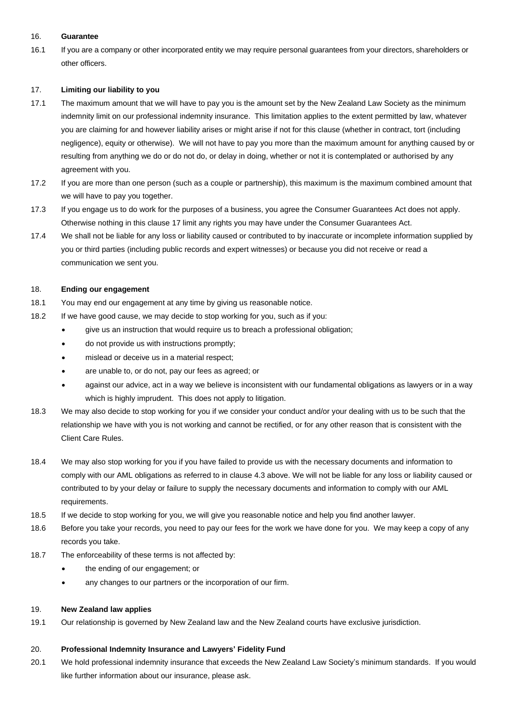#### 16. **Guarantee**

16.1 If you are a company or other incorporated entity we may require personal guarantees from your directors, shareholders or other officers.

#### <span id="page-4-0"></span>17. **Limiting our liability to you**

- 17.1 The maximum amount that we will have to pay you is the amount set by the New Zealand Law Society as the minimum indemnity limit on our professional indemnity insurance. This limitation applies to the extent permitted by law, whatever you are claiming for and however liability arises or might arise if not for this clause (whether in contract, tort (including negligence), equity or otherwise). We will not have to pay you more than the maximum amount for anything caused by or resulting from anything we do or do not do, or delay in doing, whether or not it is contemplated or authorised by any agreement with you.
- 17.2 If you are more than one person (such as a couple or partnership), this maximum is the maximum combined amount that we will have to pay you together.
- 17.3 If you engage us to do work for the purposes of a business, you agree the Consumer Guarantees Act does not apply. Otherwise nothing in this clause [17](#page-4-0) limit any rights you may have under the Consumer Guarantees Act.
- 17.4 We shall not be liable for any loss or liability caused or contributed to by inaccurate or incomplete information supplied by you or third parties (including public records and expert witnesses) or because you did not receive or read a communication we sent you.

#### 18. **Ending our engagement**

- 18.1 You may end our engagement at any time by giving us reasonable notice.
- 18.2 If we have good cause, we may decide to stop working for you, such as if you:
	- give us an instruction that would require us to breach a professional obligation;
	- do not provide us with instructions promptly;
	- mislead or deceive us in a material respect;
	- are unable to, or do not, pay our fees as agreed; or
	- against our advice, act in a way we believe is inconsistent with our fundamental obligations as lawyers or in a way which is highly imprudent. This does not apply to litigation.
- 18.3 We may also decide to stop working for you if we consider your conduct and/or your dealing with us to be such that the relationship we have with you is not working and cannot be rectified, or for any other reason that is consistent with the Client Care Rules.
- 18.4 We may also stop working for you if you have failed to provide us with the necessary documents and information to comply with our AML obligations as referred to in clause 4.3 above. We will not be liable for any loss or liability caused or contributed to by your delay or failure to supply the necessary documents and information to comply with our AML requirements.
- 18.5 If we decide to stop working for you, we will give you reasonable notice and help you find another lawyer.
- 18.6 Before you take your records, you need to pay our fees for the work we have done for you. We may keep a copy of any records you take.
- 18.7 The enforceability of these terms is not affected by:
	- the ending of our engagement; or
	- any changes to our partners or the incorporation of our firm.

#### 19. **New Zealand law applies**

19.1 Our relationship is governed by New Zealand law and the New Zealand courts have exclusive jurisdiction.

#### 20. **Professional Indemnity Insurance and Lawyers' Fidelity Fund**

20.1 We hold professional indemnity insurance that exceeds the New Zealand Law Society's minimum standards. If you would like further information about our insurance, please ask.